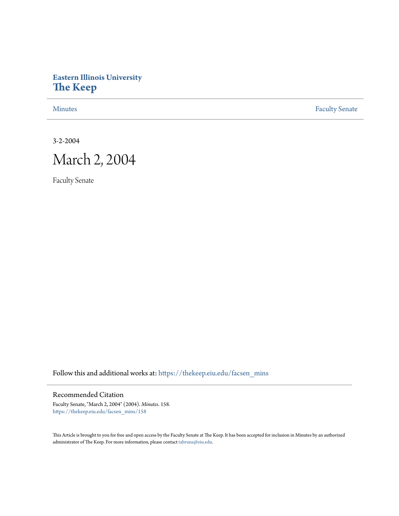# **Eastern Illinois University [The Keep](https://thekeep.eiu.edu?utm_source=thekeep.eiu.edu%2Ffacsen_mins%2F158&utm_medium=PDF&utm_campaign=PDFCoverPages)**

[Minutes](https://thekeep.eiu.edu/facsen_mins?utm_source=thekeep.eiu.edu%2Ffacsen_mins%2F158&utm_medium=PDF&utm_campaign=PDFCoverPages) **[Faculty Senate](https://thekeep.eiu.edu/fac_senate?utm_source=thekeep.eiu.edu%2Ffacsen_mins%2F158&utm_medium=PDF&utm_campaign=PDFCoverPages)** 

3-2-2004



Faculty Senate

Follow this and additional works at: [https://thekeep.eiu.edu/facsen\\_mins](https://thekeep.eiu.edu/facsen_mins?utm_source=thekeep.eiu.edu%2Ffacsen_mins%2F158&utm_medium=PDF&utm_campaign=PDFCoverPages)

Recommended Citation

Faculty Senate, "March 2, 2004" (2004). *Minutes*. 158. [https://thekeep.eiu.edu/facsen\\_mins/158](https://thekeep.eiu.edu/facsen_mins/158?utm_source=thekeep.eiu.edu%2Ffacsen_mins%2F158&utm_medium=PDF&utm_campaign=PDFCoverPages)

This Article is brought to you for free and open access by the Faculty Senate at The Keep. It has been accepted for inclusion in Minutes by an authorized administrator of The Keep. For more information, please contact [tabruns@eiu.edu.](mailto:tabruns@eiu.edu)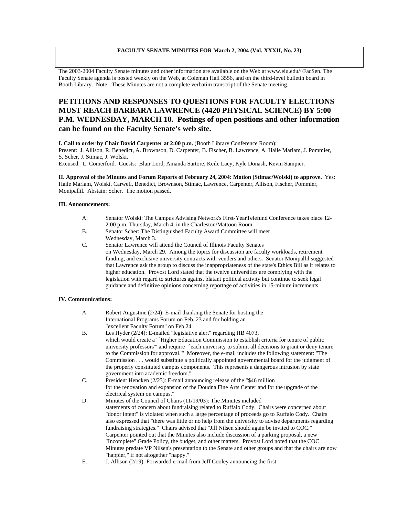### **FACULTY SENATE MINUTES FOR March 2, 2004 (Vol. XXXII, No. 23)**

The 2003-2004 Faculty Senate minutes and other information are available on the Web at www.eiu.edu/~FacSen. The Faculty Senate agenda is posted weekly on the Web, at Coleman Hall 3556, and on the third-level bulletin board in Booth Library. Note: These Minutes are not a complete verbatim transcript of the Senate meeting.

## **PETITIONS AND RESPONSES TO QUESTIONS FOR FACULTY ELECTIONS MUST REACH BARBARA LAWRENCE (4420 PHYSICAL SCIENCE) BY 5:00 P.M. WEDNESDAY, MARCH 10. Postings of open positions and other information can be found on the Faculty Senate's web site.**

**I. Call to order by Chair David Carpenter at 2:00 p.m.** (Booth Library Conference Room):

Present: J. Allison, R. Benedict, A. Brownson, D. Carpenter, B. Fischer, B. Lawrence, A. Haile Mariam, J. Pommier, S. Scher, J. Stimac, J. Wolski.

Excused: L. Comerford. Guests: Blair Lord, Amanda Sartore, Keile Lacy, Kyle Donash, Kevin Sampier.

#### **II. Approval of the Minutes and Forum Reports of February 24, 2004: Motion (Stimac/Wolski) to approve.** Yes: Haile Mariam, Wolski, Carwell, Benedict, Brownson, Stimac, Lawrence, Carpenter, Allison, Fischer, Pommier, Monipallil. Abstain: Scher. The motion passed.

#### **III. Announcements:**

- A. Senator Wolski: The Campus Advising Network's First-YearTelefund Conference takes place 12- 2:00 p.m. Thursday, March 4, in the Charleston/Mattoon Room.
- B. Senator Scher: The Distinguished Faculty Award Committee will meet Wednesday, March 3.
- C. Senator Lawrence will attend the Council of Illinois Faculty Senates on Wednesday, March 29. Among the topics for discussion are faculty workloads, retirement funding, and exclusive university contracts with venders and others. Senator Monipallil suggested that Lawrence ask the group to discuss the inappropriateness of the state's Ethics Bill as it relates to higher education. Provost Lord stated that the twelve universities are complying with the legislation with regard to strictures against blatant political activity but continue to seek legal guidance and definitive opinions concerning reportage of activities in 15-minute increments.

#### **IV. Communications:**

- A. Robert Augustine (2/24): E-mail thanking the Senate for hosting the International Programs Forum on Feb. 23 and for holding an "excellent Faculty Forum" on Feb 24.
- B. Les Hyder (2/24): E-mailed "legislative alert" regarding HB 4073, which would create a "`Higher Education Commission to establish criteria for tenure of public university professors'" and require "`each university to submit all decisions to grant or deny tenure to the Commission for approval.'" Moreover, the e-mail includes the following statement: "The Commission . . . would substitute a politically appointed governmental board for the judgment of the properly constituted campus components. This represents a dangerous intrusion by state government into academic freedom."
- C. President Hencken (2/23): E-mail announcing release of the "\$46 million for the renovation and expansion of the Doudna Fine Arts Center and for the upgrade of the electrical system on campus."
- D. Minutes of the Council of Chairs (11/19/03): The Minutes included statements of concern about fundraising related to Ruffalo Cody. Chairs were concerned about "donor intent" is violated when such a large percentage of proceeds go to Ruffalo Cody. Chairs also expressed that "there was little or no help from the university to advise departments regarding fundraising strategies." Chairs advised that "Jill Nilsen should again be invited to COC." Carpenter pointed out that the Minutes also include discussion of a parking proposal, a new "Incomplete" Grade Policy, the budget, and other matters. Provost Lord noted that the COC Minutes predate VP Nilsen's presentation to the Senate and other groups and that the chairs are now "happier," if not altogether "happy."
- E. J. Allison (2/19): Forwarded e-mail from Jeff Cooley announcing the first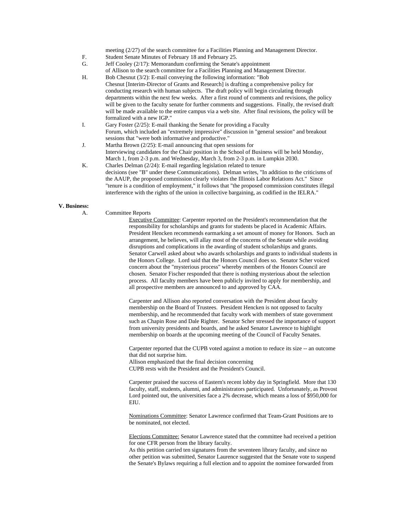meeting (2/27) of the search committee for a Facilities Planning and Management Director.

- F. Student Senate Minutes of February 18 and February 25.
- G. Jeff Cooley (2/17): Memorandum confirming the Senate's appointment of Allison to the search committee for a Facilities Planning and Management Director.
- H. Bob Chesnut (3/2): E-mail conveying the following information: "Bob Chesnut [Interim-Director of Grants and Research] is drafting a comprehensive policy for conducting research with human subjects. The draft policy will begin circulating through departments within the next few weeks. After a first round of comments and revisions, the policy will be given to the faculty senate for further comments and suggestions. Finally, the revised draft will be made available to the entire campus via a web site. After final revisions, the policy will be formalized with a new IGP."
- I. Gary Foster (2/25): E-mail thanking the Senate for providing a Faculty Forum, which included an "extremely impressive" discussion in "general session" and breakout sessions that "were both informative and productive."
- J. Martha Brown (2/25): E-mail announcing that open sessions for Interviewing candidates for the Chair position in the School of Business will be held Monday, March 1, from 2-3 p.m. and Wednesday, March 3, from 2-3 p.m. in Lumpkin 2030.
- K. Charles Delman (2/24): E-mail regarding legislation related to tenure decisions (see "B" under these Communications). Delman writes, "In addition to the criticisms of the AAUP, the proposed commission clearly violates the Illinois Labor Relations Act." Since "tenure is a condition of employment," it follows that "the proposed commission constitutes illegal interference with the rights of the union in collective bargaining, as codified in the IELRA."

#### **V. Business:**

A. Committee Reports

Executive Committee: Carpenter reported on the President's recommendation that the responsibility for scholarships and grants for students be placed in Academic Affairs. President Hencken recommends earmarking a set amount of money for Honors. Such an arrangement, he believes, will allay most of the concerns of the Senate while avoiding disruptions and complications in the awarding of student scholarships and grants. Senator Carwell asked about who awards scholarships and grants to individual students in the Honors College. Lord said that the Honors Council does so. Senator Scher voiced concern about the "mysterious process" whereby members of the Honors Council are chosen. Senator Fischer responded that there is nothing mysterious about the selection process. All faculty members have been publicly invited to apply for membership, and all prospective members are announced to and approved by CAA.

Carpenter and Allison also reported conversation with the President about faculty membership on the Board of Trustees. President Hencken is not opposed to faculty membership, and he recommended that faculty work with members of state government such as Chapin Rose and Dale Righter. Senator Scher stressed the importance of support from university presidents and boards, and he asked Senator Lawrence to highlight membership on boards at the upcoming meeting of the Council of Faculty Senates.

Carpenter reported that the CUPB voted against a motion to reduce its size -- an outcome that did not surprise him.

Allison emphasized that the final decision concerning

CUPB rests with the President and the President's Council.

Carpenter praised the success of Eastern's recent lobby day in Springfield. More that 130 faculty, staff, students, alumni, and administrators participated. Unfortunately, as Provost Lord pointed out, the universities face a 2% decrease, which means a loss of \$950,000 for EIU.

Nominations Committee: Senator Lawrence confirmed that Team-Grant Positions are to be nominated, not elected.

Elections Committee: Senator Lawrence stated that the committee had received a petition for one CFR person from the library faculty.

As this petition carried ten signatures from the seventeen library faculty, and since no other petition was submitted, Senator Laurence suggested that the Senate vote to suspend the Senate's Bylaws requiring a full election and to appoint the nominee forwarded from